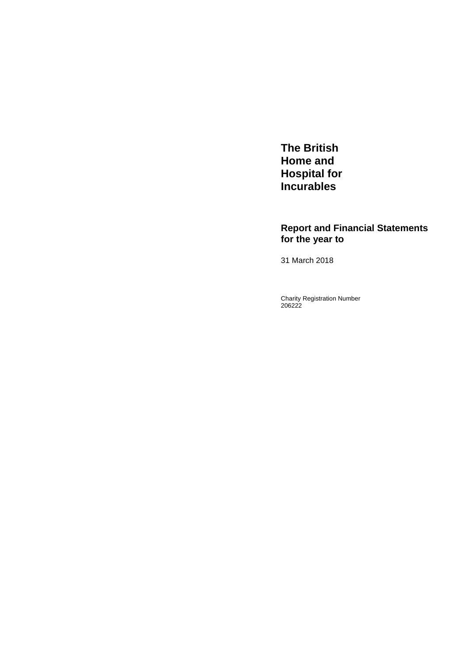**The British Home and Hospital for Incurables** 

# **Report and Financial Statements for the year to**

31 March 2018

Charity Registration Number 206222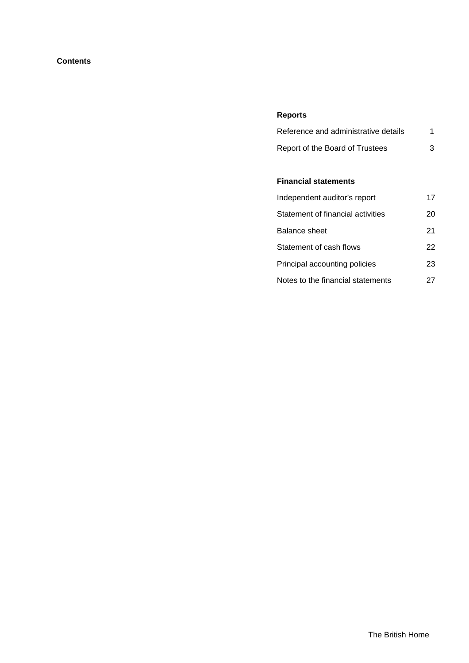# **Contents**

# **Reports**

| Reference and administrative details |  |
|--------------------------------------|--|
| Report of the Board of Trustees      |  |

# **Financial statements**

| Independent auditor's report      | 17 |
|-----------------------------------|----|
| Statement of financial activities | 20 |
| Balance sheet                     | 21 |
| Statement of cash flows           | 22 |
| Principal accounting policies     | 23 |
| Notes to the financial statements | 27 |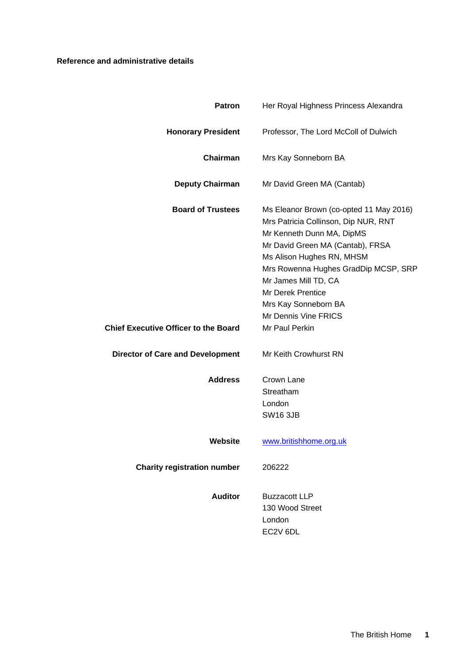# **Reference and administrative details**

| <b>Patron</b>                               | Her Royal Highness Princess Alexandra                                                                                                                                                                                                                                                                                     |
|---------------------------------------------|---------------------------------------------------------------------------------------------------------------------------------------------------------------------------------------------------------------------------------------------------------------------------------------------------------------------------|
| <b>Honorary President</b>                   | Professor, The Lord McColl of Dulwich                                                                                                                                                                                                                                                                                     |
| Chairman                                    | Mrs Kay Sonneborn BA                                                                                                                                                                                                                                                                                                      |
| <b>Deputy Chairman</b>                      | Mr David Green MA (Cantab)                                                                                                                                                                                                                                                                                                |
| <b>Board of Trustees</b>                    | Ms Eleanor Brown (co-opted 11 May 2016)<br>Mrs Patricia Collinson, Dip NUR, RNT<br>Mr Kenneth Dunn MA, DipMS<br>Mr David Green MA (Cantab), FRSA<br>Ms Alison Hughes RN, MHSM<br>Mrs Rowenna Hughes GradDip MCSP, SRP<br>Mr James Mill TD, CA<br><b>Mr Derek Prentice</b><br>Mrs Kay Sonneborn BA<br>Mr Dennis Vine FRICS |
| <b>Chief Executive Officer to the Board</b> | Mr Paul Perkin                                                                                                                                                                                                                                                                                                            |
| <b>Director of Care and Development</b>     | Mr Keith Crowhurst RN                                                                                                                                                                                                                                                                                                     |
| <b>Address</b>                              | Crown Lane<br>Streatham<br>London<br><b>SW16 3JB</b>                                                                                                                                                                                                                                                                      |
| Website                                     | www.britishhome.org.uk                                                                                                                                                                                                                                                                                                    |
| <b>Charity registration number</b>          | 206222                                                                                                                                                                                                                                                                                                                    |
| <b>Auditor</b>                              | <b>Buzzacott LLP</b><br>130 Wood Street<br>London<br>EC2V 6DL                                                                                                                                                                                                                                                             |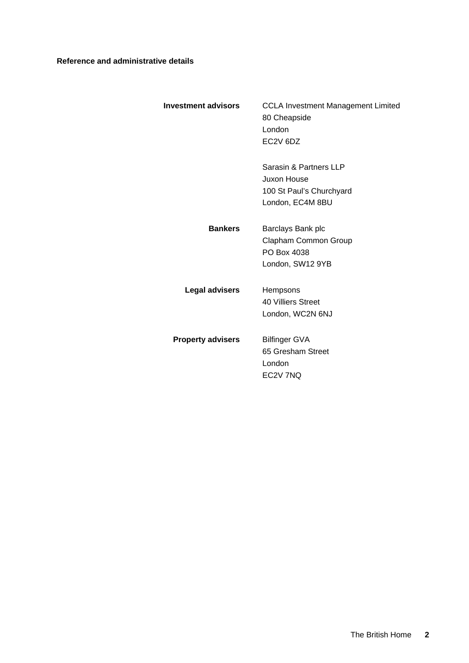# **Reference and administrative details**

| <b>Investment advisors</b> | <b>CCLA Investment Management Limited</b><br>80 Cheapside<br>London<br>EC <sub>2</sub> V <sub>6</sub> D <sub>Z</sub> |
|----------------------------|----------------------------------------------------------------------------------------------------------------------|
|                            | Sarasin & Partners LLP<br>Juxon House<br>100 St Paul's Churchyard<br>London, EC4M 8BU                                |
| <b>Bankers</b>             | Barclays Bank plc<br>Clapham Common Group<br>PO Box 4038<br>London, SW12 9YB                                         |
| <b>Legal advisers</b>      | <b>Hempsons</b><br>40 Villiers Street<br>London, WC2N 6NJ                                                            |
| <b>Property advisers</b>   | <b>Bilfinger GVA</b><br>65 Gresham Street<br>London<br>EC2V 7NQ                                                      |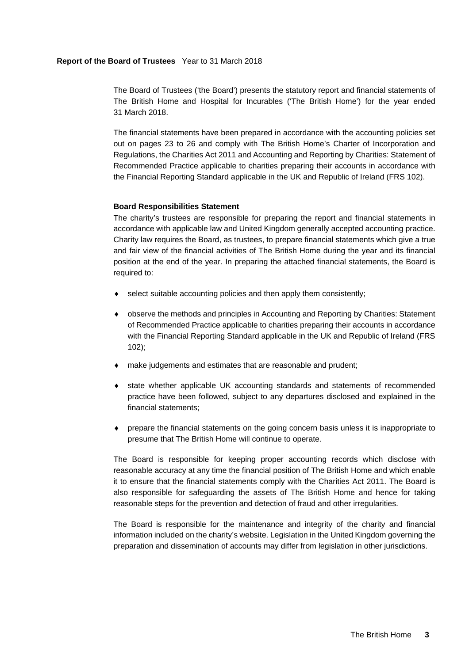The Board of Trustees ('the Board') presents the statutory report and financial statements of The British Home and Hospital for Incurables ('The British Home') for the year ended 31 March 2018.

The financial statements have been prepared in accordance with the accounting policies set out on pages 23 to 26 and comply with The British Home's Charter of Incorporation and Regulations, the Charities Act 2011 and Accounting and Reporting by Charities: Statement of Recommended Practice applicable to charities preparing their accounts in accordance with the Financial Reporting Standard applicable in the UK and Republic of Ireland (FRS 102).

# **Board Responsibilities Statement**

The charity's trustees are responsible for preparing the report and financial statements in accordance with applicable law and United Kingdom generally accepted accounting practice. Charity law requires the Board, as trustees, to prepare financial statements which give a true and fair view of the financial activities of The British Home during the year and its financial position at the end of the year. In preparing the attached financial statements, the Board is required to:

- select suitable accounting policies and then apply them consistently;
- observe the methods and principles in Accounting and Reporting by Charities: Statement of Recommended Practice applicable to charities preparing their accounts in accordance with the Financial Reporting Standard applicable in the UK and Republic of Ireland (FRS 102);
- make judgements and estimates that are reasonable and prudent;
- state whether applicable UK accounting standards and statements of recommended practice have been followed, subject to any departures disclosed and explained in the financial statements;
- prepare the financial statements on the going concern basis unless it is inappropriate to presume that The British Home will continue to operate.

The Board is responsible for keeping proper accounting records which disclose with reasonable accuracy at any time the financial position of The British Home and which enable it to ensure that the financial statements comply with the Charities Act 2011. The Board is also responsible for safeguarding the assets of The British Home and hence for taking reasonable steps for the prevention and detection of fraud and other irregularities.

The Board is responsible for the maintenance and integrity of the charity and financial information included on the charity's website. Legislation in the United Kingdom governing the preparation and dissemination of accounts may differ from legislation in other jurisdictions.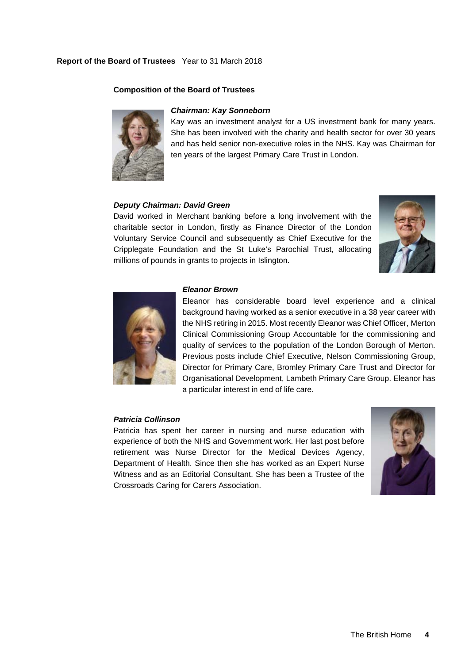# **Composition of the Board of Trustees**



# *Chairman: Kay Sonneborn*

Kay was an investment analyst for a US investment bank for many years. She has been involved with the charity and health sector for over 30 years and has held senior non-executive roles in the NHS. Kay was Chairman for ten years of the largest Primary Care Trust in London.

# *Deputy Chairman: David Green*

David worked in Merchant banking before a long involvement with the charitable sector in London, firstly as Finance Director of the London Voluntary Service Council and subsequently as Chief Executive for the Cripplegate Foundation and the St Luke's Parochial Trust, allocating millions of pounds in grants to projects in Islington.





# *Eleanor Brown*

Eleanor has considerable board level experience and a clinical background having worked as a senior executive in a 38 year career with the NHS retiring in 2015. Most recently Eleanor was Chief Officer, Merton Clinical Commissioning Group Accountable for the commissioning and quality of services to the population of the London Borough of Merton. Previous posts include Chief Executive, Nelson Commissioning Group, Director for Primary Care, Bromley Primary Care Trust and Director for Organisational Development, Lambeth Primary Care Group. Eleanor has a particular interest in end of life care.

# *Patricia Collinson*

Patricia has spent her career in nursing and nurse education with experience of both the NHS and Government work. Her last post before retirement was Nurse Director for the Medical Devices Agency, Department of Health. Since then she has worked as an Expert Nurse Witness and as an Editorial Consultant. She has been a Trustee of the Crossroads Caring for Carers Association.

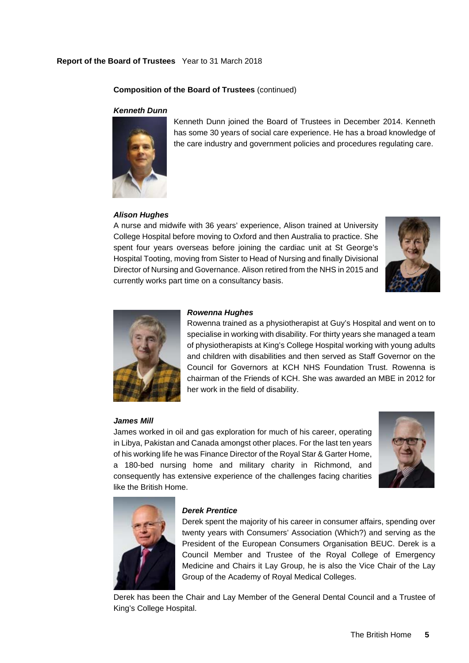# **Composition of the Board of Trustees** (continued)

# *Kenneth Dunn*



Kenneth Dunn joined the Board of Trustees in December 2014. Kenneth has some 30 years of social care experience. He has a broad knowledge of the care industry and government policies and procedures regulating care.

# *Alison Hughes*

A nurse and midwife with 36 years' experience, Alison trained at University College Hospital before moving to Oxford and then Australia to practice. She spent four years overseas before joining the cardiac unit at St George's Hospital Tooting, moving from Sister to Head of Nursing and finally Divisional Director of Nursing and Governance. Alison retired from the NHS in 2015 and currently works part time on a consultancy basis.





*Rowenna Hughes* 

Rowenna trained as a physiotherapist at Guy's Hospital and went on to specialise in working with disability. For thirty years she managed a team of physiotherapists at King's College Hospital working with young adults and children with disabilities and then served as Staff Governor on the Council for Governors at KCH NHS Foundation Trust. Rowenna is chairman of the Friends of KCH. She was awarded an MBE in 2012 for her work in the field of disability.

#### *James Mill*

James worked in oil and gas exploration for much of his career, operating in Libya, Pakistan and Canada amongst other places. For the last ten years of his working life he was Finance Director of the Royal Star & Garter Home, a 180-bed nursing home and military charity in Richmond, and consequently has extensive experience of the challenges facing charities like the British Home.





# *Derek Prentice*

Derek spent the majority of his career in consumer affairs, spending over twenty years with Consumers' Association (Which?) and serving as the President of the European Consumers Organisation BEUC. Derek is a Council Member and Trustee of the Royal College of Emergency Medicine and Chairs it Lay Group, he is also the Vice Chair of the Lay Group of the Academy of Royal Medical Colleges.

Derek has been the Chair and Lay Member of the General Dental Council and a Trustee of King's College Hospital.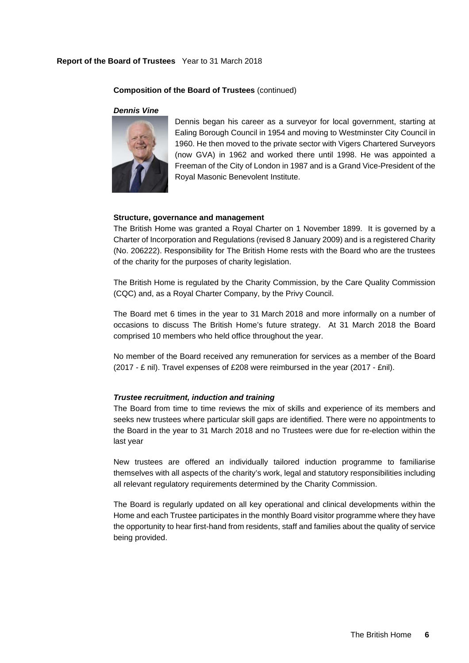#### **Composition of the Board of Trustees** (continued)

#### *Dennis Vine*



Dennis began his career as a surveyor for local government, starting at Ealing Borough Council in 1954 and moving to Westminster City Council in 1960. He then moved to the private sector with Vigers Chartered Surveyors (now GVA) in 1962 and worked there until 1998. He was appointed a Freeman of the City of London in 1987 and is a Grand Vice-President of the Royal Masonic Benevolent Institute.

#### **Structure, governance and management**

The British Home was granted a Royal Charter on 1 November 1899. It is governed by a Charter of Incorporation and Regulations (revised 8 January 2009) and is a registered Charity (No. 206222). Responsibility for The British Home rests with the Board who are the trustees of the charity for the purposes of charity legislation.

The British Home is regulated by the Charity Commission, by the Care Quality Commission (CQC) and, as a Royal Charter Company, by the Privy Council.

The Board met 6 times in the year to 31 March 2018 and more informally on a number of occasions to discuss The British Home's future strategy. At 31 March 2018 the Board comprised 10 members who held office throughout the year.

No member of the Board received any remuneration for services as a member of the Board (2017 - £ nil). Travel expenses of £208 were reimbursed in the year (2017 - £nil).

# *Trustee recruitment, induction and training*

The Board from time to time reviews the mix of skills and experience of its members and seeks new trustees where particular skill gaps are identified. There were no appointments to the Board in the year to 31 March 2018 and no Trustees were due for re-election within the last year

New trustees are offered an individually tailored induction programme to familiarise themselves with all aspects of the charity's work, legal and statutory responsibilities including all relevant regulatory requirements determined by the Charity Commission.

The Board is regularly updated on all key operational and clinical developments within the Home and each Trustee participates in the monthly Board visitor programme where they have the opportunity to hear first-hand from residents, staff and families about the quality of service being provided.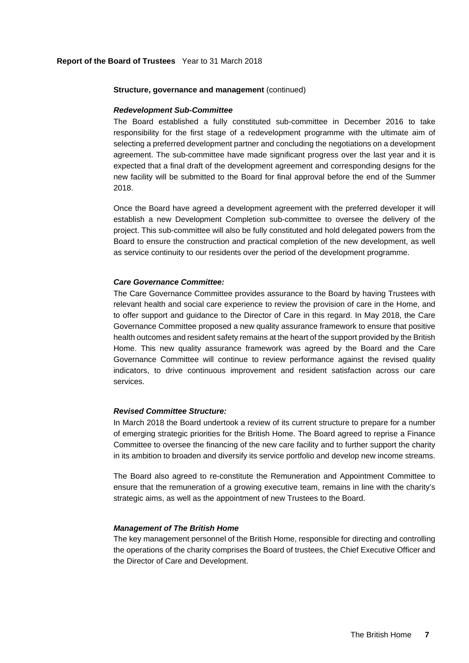#### **Structure, governance and management** (continued)

#### *Redevelopment Sub-Committee*

The Board established a fully constituted sub-committee in December 2016 to take responsibility for the first stage of a redevelopment programme with the ultimate aim of selecting a preferred development partner and concluding the negotiations on a development agreement. The sub-committee have made significant progress over the last year and it is expected that a final draft of the development agreement and corresponding designs for the new facility will be submitted to the Board for final approval before the end of the Summer 2018.

Once the Board have agreed a development agreement with the preferred developer it will establish a new Development Completion sub-committee to oversee the delivery of the project. This sub-committee will also be fully constituted and hold delegated powers from the Board to ensure the construction and practical completion of the new development, as well as service continuity to our residents over the period of the development programme.

# *Care Governance Committee:*

The Care Governance Committee provides assurance to the Board by having Trustees with relevant health and social care experience to review the provision of care in the Home, and to offer support and guidance to the Director of Care in this regard. In May 2018, the Care Governance Committee proposed a new quality assurance framework to ensure that positive health outcomes and resident safety remains at the heart of the support provided by the British Home. This new quality assurance framework was agreed by the Board and the Care Governance Committee will continue to review performance against the revised quality indicators, to drive continuous improvement and resident satisfaction across our care services.

#### *Revised Committee Structure:*

In March 2018 the Board undertook a review of its current structure to prepare for a number of emerging strategic priorities for the British Home. The Board agreed to reprise a Finance Committee to oversee the financing of the new care facility and to further support the charity in its ambition to broaden and diversify its service portfolio and develop new income streams.

The Board also agreed to re-constitute the Remuneration and Appointment Committee to ensure that the remuneration of a growing executive team, remains in line with the charity's strategic aims, as well as the appointment of new Trustees to the Board.

#### *Management of The British Home*

The key management personnel of the British Home, responsible for directing and controlling the operations of the charity comprises the Board of trustees, the Chief Executive Officer and the Director of Care and Development.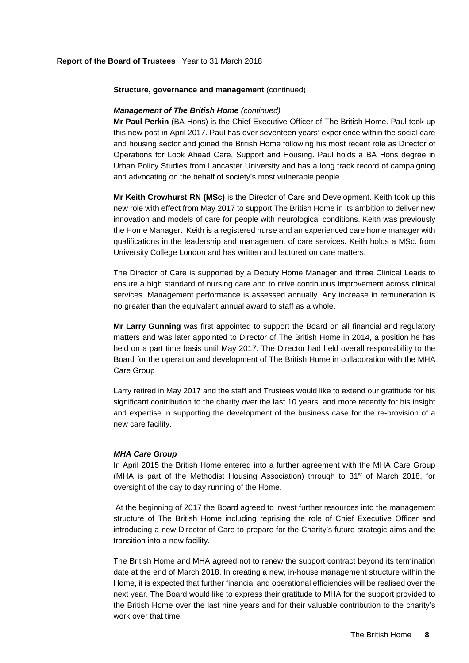#### **Structure, governance and management** (continued)

# *Management of The British Home (continued)*

**Mr Paul Perkin** (BA Hons) is the Chief Executive Officer of The British Home. Paul took up this new post in April 2017. Paul has over seventeen years' experience within the social care and housing sector and joined the British Home following his most recent role as Director of Operations for Look Ahead Care, Support and Housing. Paul holds a BA Hons degree in Urban Policy Studies from Lancaster University and has a long track record of campaigning and advocating on the behalf of society's most vulnerable people.

**Mr Keith Crowhurst RN (MSc)** is the Director of Care and Development. Keith took up this new role with effect from May 2017 to support The British Home in its ambition to deliver new innovation and models of care for people with neurological conditions. Keith was previously the Home Manager. Keith is a registered nurse and an experienced care home manager with qualifications in the leadership and management of care services. Keith holds a MSc. from University College London and has written and lectured on care matters.

The Director of Care is supported by a Deputy Home Manager and three Clinical Leads to ensure a high standard of nursing care and to drive continuous improvement across clinical services. Management performance is assessed annually. Any increase in remuneration is no greater than the equivalent annual award to staff as a whole.

**Mr Larry Gunning** was first appointed to support the Board on all financial and regulatory matters and was later appointed to Director of The British Home in 2014, a position he has held on a part time basis until May 2017. The Director had held overall responsibility to the Board for the operation and development of The British Home in collaboration with the MHA Care Group

Larry retired in May 2017 and the staff and Trustees would like to extend our gratitude for his significant contribution to the charity over the last 10 years, and more recently for his insight and expertise in supporting the development of the business case for the re-provision of a new care facility.

# *MHA Care Group*

In April 2015 the British Home entered into a further agreement with the MHA Care Group (MHA is part of the Methodist Housing Association) through to 31<sup>st</sup> of March 2018, for oversight of the day to day running of the Home.

 At the beginning of 2017 the Board agreed to invest further resources into the management structure of The British Home including reprising the role of Chief Executive Officer and introducing a new Director of Care to prepare for the Charity's future strategic aims and the transition into a new facility.

The British Home and MHA agreed not to renew the support contract beyond its termination date at the end of March 2018. In creating a new, in-house management structure within the Home, it is expected that further financial and operational efficiencies will be realised over the next year. The Board would like to express their gratitude to MHA for the support provided to the British Home over the last nine years and for their valuable contribution to the charity's work over that time.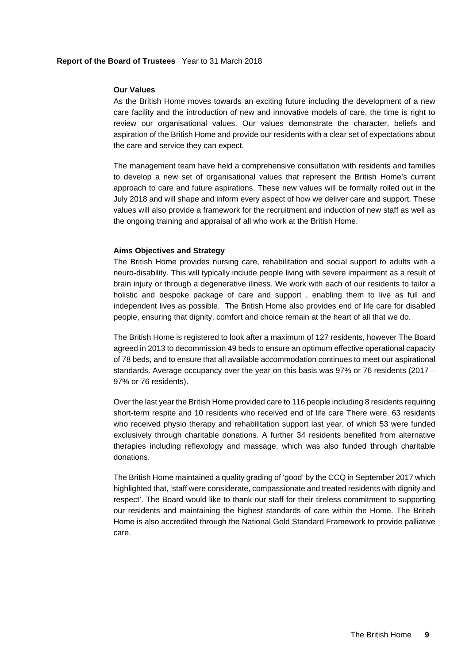#### **Our Values**

As the British Home moves towards an exciting future including the development of a new care facility and the introduction of new and innovative models of care, the time is right to review our organisational values. Our values demonstrate the character, beliefs and aspiration of the British Home and provide our residents with a clear set of expectations about the care and service they can expect.

The management team have held a comprehensive consultation with residents and families to develop a new set of organisational values that represent the British Home's current approach to care and future aspirations. These new values will be formally rolled out in the July 2018 and will shape and inform every aspect of how we deliver care and support. These values will also provide a framework for the recruitment and induction of new staff as well as the ongoing training and appraisal of all who work at the British Home.

# **Aims Objectives and Strategy**

The British Home provides nursing care, rehabilitation and social support to adults with a neuro-disability. This will typically include people living with severe impairment as a result of brain injury or through a degenerative illness. We work with each of our residents to tailor a holistic and bespoke package of care and support , enabling them to live as full and independent lives as possible. The British Home also provides end of life care for disabled people, ensuring that dignity, comfort and choice remain at the heart of all that we do.

The British Home is registered to look after a maximum of 127 residents, however The Board agreed in 2013 to decommission 49 beds to ensure an optimum effective operational capacity of 78 beds, and to ensure that all available accommodation continues to meet our aspirational standards. Average occupancy over the year on this basis was 97% or 76 residents (2017 – 97% or 76 residents).

Over the last year the British Home provided care to 116 people including 8 residents requiring short-term respite and 10 residents who received end of life care There were. 63 residents who received physio therapy and rehabilitation support last year, of which 53 were funded exclusively through charitable donations. A further 34 residents benefited from alternative therapies including reflexology and massage, which was also funded through charitable donations.

The British Home maintained a quality grading of 'good' by the CCQ in September 2017 which highlighted that, 'staff were considerate, compassionate and treated residents with dignity and respect'. The Board would like to thank our staff for their tireless commitment to supporting our residents and maintaining the highest standards of care within the Home. The British Home is also accredited through the National Gold Standard Framework to provide palliative care.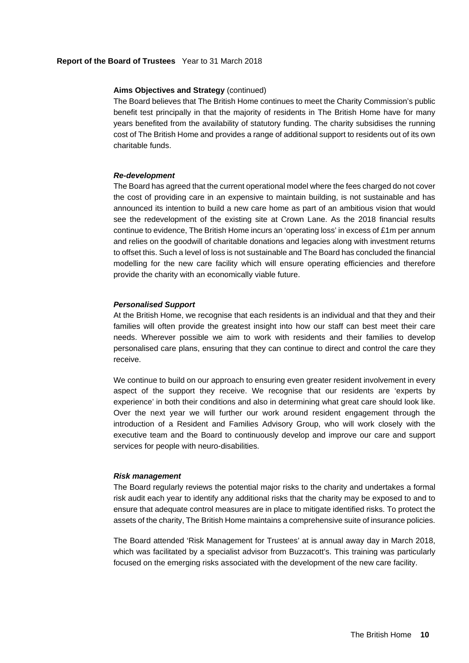# **Aims Objectives and Strategy** (continued)

The Board believes that The British Home continues to meet the Charity Commission's public benefit test principally in that the majority of residents in The British Home have for many years benefited from the availability of statutory funding. The charity subsidises the running cost of The British Home and provides a range of additional support to residents out of its own charitable funds.

#### *Re-development*

The Board has agreed that the current operational model where the fees charged do not cover the cost of providing care in an expensive to maintain building, is not sustainable and has announced its intention to build a new care home as part of an ambitious vision that would see the redevelopment of the existing site at Crown Lane. As the 2018 financial results continue to evidence, The British Home incurs an 'operating loss' in excess of £1m per annum and relies on the goodwill of charitable donations and legacies along with investment returns to offset this. Such a level of loss is not sustainable and The Board has concluded the financial modelling for the new care facility which will ensure operating efficiencies and therefore provide the charity with an economically viable future.

#### *Personalised Support*

At the British Home, we recognise that each residents is an individual and that they and their families will often provide the greatest insight into how our staff can best meet their care needs. Wherever possible we aim to work with residents and their families to develop personalised care plans, ensuring that they can continue to direct and control the care they receive.

We continue to build on our approach to ensuring even greater resident involvement in every aspect of the support they receive. We recognise that our residents are 'experts by experience' in both their conditions and also in determining what great care should look like. Over the next year we will further our work around resident engagement through the introduction of a Resident and Families Advisory Group, who will work closely with the executive team and the Board to continuously develop and improve our care and support services for people with neuro-disabilities.

#### *Risk management*

The Board regularly reviews the potential major risks to the charity and undertakes a formal risk audit each year to identify any additional risks that the charity may be exposed to and to ensure that adequate control measures are in place to mitigate identified risks. To protect the assets of the charity, The British Home maintains a comprehensive suite of insurance policies.

The Board attended 'Risk Management for Trustees' at is annual away day in March 2018, which was facilitated by a specialist advisor from Buzzacott's. This training was particularly focused on the emerging risks associated with the development of the new care facility.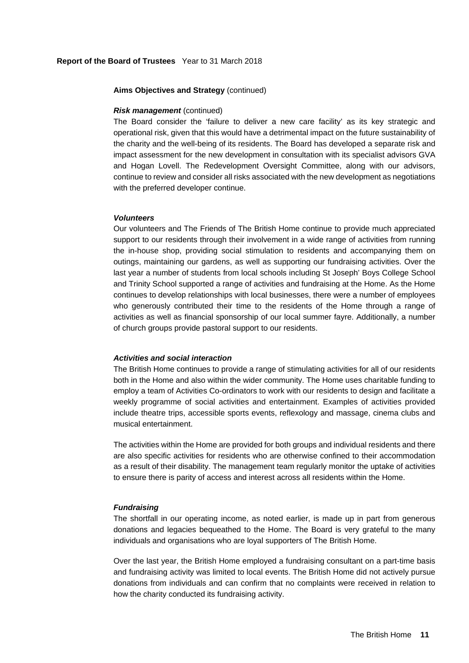# **Aims Objectives and Strategy** (continued)

# *Risk management* (continued)

The Board consider the 'failure to deliver a new care facility' as its key strategic and operational risk, given that this would have a detrimental impact on the future sustainability of the charity and the well-being of its residents. The Board has developed a separate risk and impact assessment for the new development in consultation with its specialist advisors GVA and Hogan Lovell. The Redevelopment Oversight Committee, along with our advisors, continue to review and consider all risks associated with the new development as negotiations with the preferred developer continue.

#### *Volunteers*

Our volunteers and The Friends of The British Home continue to provide much appreciated support to our residents through their involvement in a wide range of activities from running the in-house shop, providing social stimulation to residents and accompanying them on outings, maintaining our gardens, as well as supporting our fundraising activities. Over the last year a number of students from local schools including St Joseph' Boys College School and Trinity School supported a range of activities and fundraising at the Home. As the Home continues to develop relationships with local businesses, there were a number of employees who generously contributed their time to the residents of the Home through a range of activities as well as financial sponsorship of our local summer fayre. Additionally, a number of church groups provide pastoral support to our residents.

# *Activities and social interaction*

The British Home continues to provide a range of stimulating activities for all of our residents both in the Home and also within the wider community. The Home uses charitable funding to employ a team of Activities Co-ordinators to work with our residents to design and facilitate a weekly programme of social activities and entertainment. Examples of activities provided include theatre trips, accessible sports events, reflexology and massage, cinema clubs and musical entertainment.

The activities within the Home are provided for both groups and individual residents and there are also specific activities for residents who are otherwise confined to their accommodation as a result of their disability. The management team regularly monitor the uptake of activities to ensure there is parity of access and interest across all residents within the Home.

# *Fundraising*

The shortfall in our operating income, as noted earlier, is made up in part from generous donations and legacies bequeathed to the Home. The Board is very grateful to the many individuals and organisations who are loyal supporters of The British Home.

Over the last year, the British Home employed a fundraising consultant on a part-time basis and fundraising activity was limited to local events. The British Home did not actively pursue donations from individuals and can confirm that no complaints were received in relation to how the charity conducted its fundraising activity.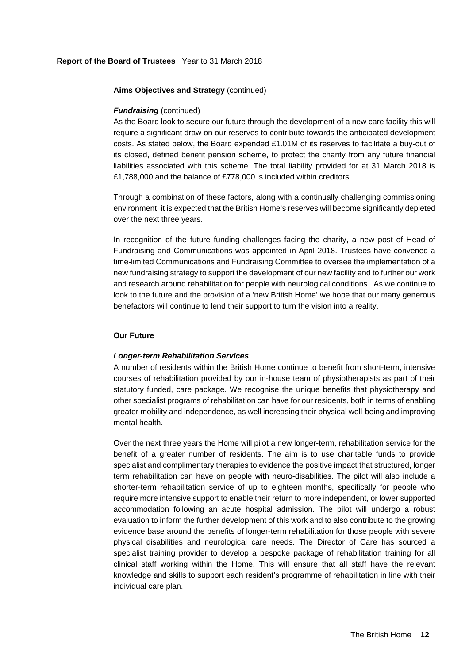# **Aims Objectives and Strategy** (continued)

# *Fundraising* (continued)

As the Board look to secure our future through the development of a new care facility this will require a significant draw on our reserves to contribute towards the anticipated development costs. As stated below, the Board expended £1.01M of its reserves to facilitate a buy-out of its closed, defined benefit pension scheme, to protect the charity from any future financial liabilities associated with this scheme. The total liability provided for at 31 March 2018 is £1,788,000 and the balance of £778,000 is included within creditors.

Through a combination of these factors, along with a continually challenging commissioning environment, it is expected that the British Home's reserves will become significantly depleted over the next three years.

In recognition of the future funding challenges facing the charity, a new post of Head of Fundraising and Communications was appointed in April 2018. Trustees have convened a time-limited Communications and Fundraising Committee to oversee the implementation of a new fundraising strategy to support the development of our new facility and to further our work and research around rehabilitation for people with neurological conditions. As we continue to look to the future and the provision of a 'new British Home' we hope that our many generous benefactors will continue to lend their support to turn the vision into a reality.

# **Our Future**

# *Longer-term Rehabilitation Services*

A number of residents within the British Home continue to benefit from short-term, intensive courses of rehabilitation provided by our in-house team of physiotherapists as part of their statutory funded, care package. We recognise the unique benefits that physiotherapy and other specialist programs of rehabilitation can have for our residents, both in terms of enabling greater mobility and independence, as well increasing their physical well-being and improving mental health.

Over the next three years the Home will pilot a new longer-term, rehabilitation service for the benefit of a greater number of residents. The aim is to use charitable funds to provide specialist and complimentary therapies to evidence the positive impact that structured, longer term rehabilitation can have on people with neuro-disabilities. The pilot will also include a shorter-term rehabilitation service of up to eighteen months, specifically for people who require more intensive support to enable their return to more independent, or lower supported accommodation following an acute hospital admission. The pilot will undergo a robust evaluation to inform the further development of this work and to also contribute to the growing evidence base around the benefits of longer-term rehabilitation for those people with severe physical disabilities and neurological care needs. The Director of Care has sourced a specialist training provider to develop a bespoke package of rehabilitation training for all clinical staff working within the Home. This will ensure that all staff have the relevant knowledge and skills to support each resident's programme of rehabilitation in line with their individual care plan.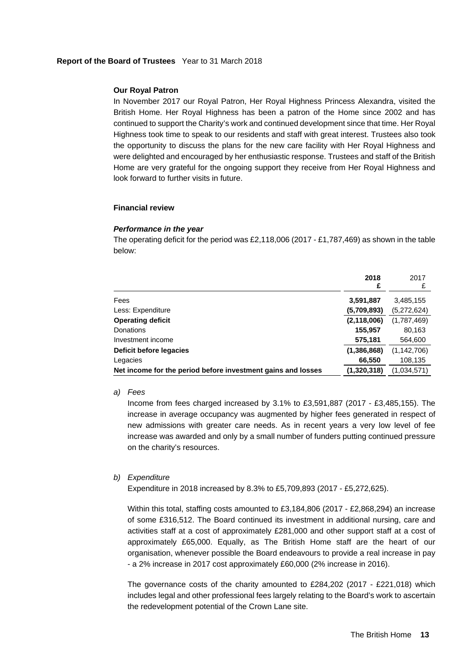# **Our Royal Patron**

In November 2017 our Royal Patron, Her Royal Highness Princess Alexandra, visited the British Home. Her Royal Highness has been a patron of the Home since 2002 and has continued to support the Charity's work and continued development since that time. Her Royal Highness took time to speak to our residents and staff with great interest. Trustees also took the opportunity to discuss the plans for the new care facility with Her Royal Highness and were delighted and encouraged by her enthusiastic response. Trustees and staff of the British Home are very grateful for the ongoing support they receive from Her Royal Highness and look forward to further visits in future.

#### **Financial review**

#### *Performance in the year*

The operating deficit for the period was £2,118,006 (2017 - £1,787,469) as shown in the table below:

|                                                              | 2018          | 2017          |
|--------------------------------------------------------------|---------------|---------------|
|                                                              | £             | £             |
| Fees                                                         | 3,591,887     | 3,485,155     |
| Less: Expenditure                                            | (5,709,893)   | (5,272,624)   |
| <b>Operating deficit</b>                                     | (2, 118, 006) | (1,787,469)   |
| Donations                                                    | 155,957       | 80,163        |
| Investment income                                            | 575,181       | 564,600       |
| Deficit before legacies                                      | (1,386,868)   | (1, 142, 706) |
| Legacies                                                     | 66,550        | 108,135       |
| Net income for the period before investment gains and losses | (1.320.318)   | (1.034.571)   |

*a) Fees* 

Income from fees charged increased by 3.1% to £3,591,887 (2017 - £3,485,155). The increase in average occupancy was augmented by higher fees generated in respect of new admissions with greater care needs. As in recent years a very low level of fee increase was awarded and only by a small number of funders putting continued pressure on the charity's resources.

# *b) Expenditure*

Expenditure in 2018 increased by 8.3% to £5,709,893 (2017 - £5,272,625).

Within this total, staffing costs amounted to £3,184,806 (2017 - £2,868,294) an increase of some £316,512. The Board continued its investment in additional nursing, care and activities staff at a cost of approximately £281,000 and other support staff at a cost of approximately £65,000. Equally, as The British Home staff are the heart of our organisation, whenever possible the Board endeavours to provide a real increase in pay - a 2% increase in 2017 cost approximately £60,000 (2% increase in 2016).

The governance costs of the charity amounted to  $£284,202$  (2017 -  $£221,018)$  which includes legal and other professional fees largely relating to the Board's work to ascertain the redevelopment potential of the Crown Lane site.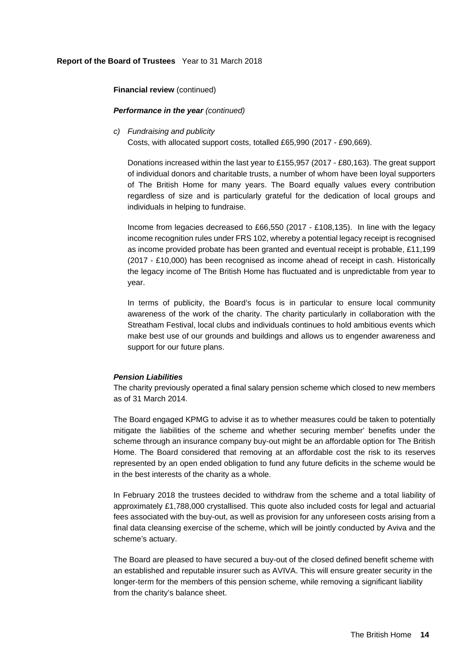**Financial review** (continued)

# *Performance in the year (continued)*

*c) Fundraising and publicity* 

Costs, with allocated support costs, totalled £65,990 (2017 - £90,669).

Donations increased within the last year to £155,957 (2017 - £80,163). The great support of individual donors and charitable trusts, a number of whom have been loyal supporters of The British Home for many years. The Board equally values every contribution regardless of size and is particularly grateful for the dedication of local groups and individuals in helping to fundraise.

Income from legacies decreased to £66,550 (2017 - £108,135). In line with the legacy income recognition rules under FRS 102, whereby a potential legacy receipt is recognised as income provided probate has been granted and eventual receipt is probable, £11,199 (2017 - £10,000) has been recognised as income ahead of receipt in cash. Historically the legacy income of The British Home has fluctuated and is unpredictable from year to year.

In terms of publicity, the Board's focus is in particular to ensure local community awareness of the work of the charity. The charity particularly in collaboration with the Streatham Festival, local clubs and individuals continues to hold ambitious events which make best use of our grounds and buildings and allows us to engender awareness and support for our future plans.

# *Pension Liabilities*

The charity previously operated a final salary pension scheme which closed to new members as of 31 March 2014.

The Board engaged KPMG to advise it as to whether measures could be taken to potentially mitigate the liabilities of the scheme and whether securing member' benefits under the scheme through an insurance company buy-out might be an affordable option for The British Home. The Board considered that removing at an affordable cost the risk to its reserves represented by an open ended obligation to fund any future deficits in the scheme would be in the best interests of the charity as a whole.

In February 2018 the trustees decided to withdraw from the scheme and a total liability of approximately £1,788,000 crystallised. This quote also included costs for legal and actuarial fees associated with the buy-out, as well as provision for any unforeseen costs arising from a final data cleansing exercise of the scheme, which will be jointly conducted by Aviva and the scheme's actuary.

The Board are pleased to have secured a buy-out of the closed defined benefit scheme with an established and reputable insurer such as AVIVA. This will ensure greater security in the longer-term for the members of this pension scheme, while removing a significant liability from the charity's balance sheet.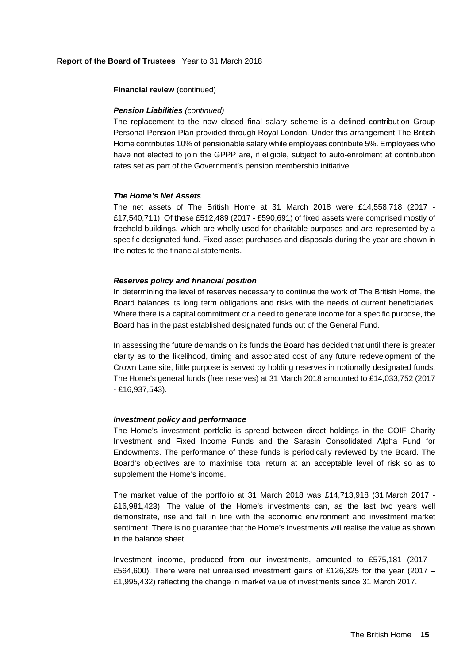# **Financial review** (continued)

# *Pension Liabilities (continued)*

The replacement to the now closed final salary scheme is a defined contribution Group Personal Pension Plan provided through Royal London. Under this arrangement The British Home contributes 10% of pensionable salary while employees contribute 5%. Employees who have not elected to join the GPPP are, if eligible, subject to auto-enrolment at contribution rates set as part of the Government's pension membership initiative.

# *The Home's Net Assets*

The net assets of The British Home at 31 March 2018 were £14,558,718 (2017 - £17,540,711). Of these £512,489 (2017 - £590,691) of fixed assets were comprised mostly of freehold buildings, which are wholly used for charitable purposes and are represented by a specific designated fund. Fixed asset purchases and disposals during the year are shown in the notes to the financial statements.

# *Reserves policy and financial position*

In determining the level of reserves necessary to continue the work of The British Home, the Board balances its long term obligations and risks with the needs of current beneficiaries. Where there is a capital commitment or a need to generate income for a specific purpose, the Board has in the past established designated funds out of the General Fund.

In assessing the future demands on its funds the Board has decided that until there is greater clarity as to the likelihood, timing and associated cost of any future redevelopment of the Crown Lane site, little purpose is served by holding reserves in notionally designated funds. The Home's general funds (free reserves) at 31 March 2018 amounted to £14,033,752 (2017 - £16,937,543).

# *Investment policy and performance*

The Home's investment portfolio is spread between direct holdings in the COIF Charity Investment and Fixed Income Funds and the Sarasin Consolidated Alpha Fund for Endowments. The performance of these funds is periodically reviewed by the Board. The Board's objectives are to maximise total return at an acceptable level of risk so as to supplement the Home's income.

The market value of the portfolio at 31 March 2018 was £14,713,918 (31 March 2017 - £16,981,423). The value of the Home's investments can, as the last two years well demonstrate, rise and fall in line with the economic environment and investment market sentiment. There is no guarantee that the Home's investments will realise the value as shown in the balance sheet.

Investment income, produced from our investments, amounted to £575,181 (2017 - £564,600). There were net unrealised investment gains of £126,325 for the year (2017 – £1,995,432) reflecting the change in market value of investments since 31 March 2017.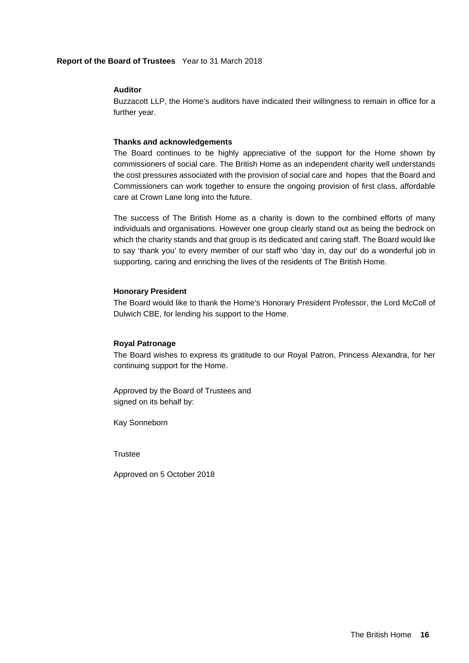# **Auditor**

Buzzacott LLP, the Home's auditors have indicated their willingness to remain in office for a further year.

# **Thanks and acknowledgements**

The Board continues to be highly appreciative of the support for the Home shown by commissioners of social care. The British Home as an independent charity well understands the cost pressures associated with the provision of social care and hopes that the Board and Commissioners can work together to ensure the ongoing provision of first class, affordable care at Crown Lane long into the future.

The success of The British Home as a charity is down to the combined efforts of many individuals and organisations. However one group clearly stand out as being the bedrock on which the charity stands and that group is its dedicated and caring staff. The Board would like to say 'thank you' to every member of our staff who 'day in, day out' do a wonderful job in supporting, caring and enriching the lives of the residents of The British Home.

# **Honorary President**

The Board would like to thank the Home's Honorary President Professor, the Lord McColl of Dulwich CBE, for lending his support to the Home.

# **Royal Patronage**

The Board wishes to express its gratitude to our Royal Patron, Princess Alexandra, for her continuing support for the Home.

Approved by the Board of Trustees and signed on its behalf by:

Kay Sonneborn

**Trustee** 

Approved on 5 October 2018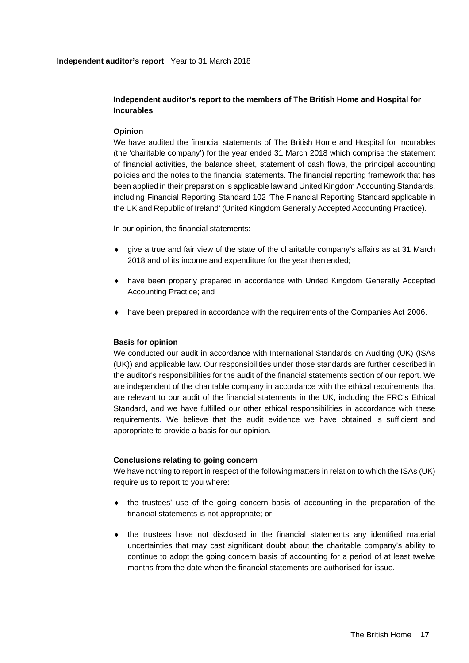# **Independent auditor's report to the members of The British Home and Hospital for Incurables**

# **Opinion**

We have audited the financial statements of The British Home and Hospital for Incurables (the 'charitable company') for the year ended 31 March 2018 which comprise the statement of financial activities, the balance sheet, statement of cash flows, the principal accounting policies and the notes to the financial statements. The financial reporting framework that has been applied in their preparation is applicable law and United Kingdom Accounting Standards, including Financial Reporting Standard 102 'The Financial Reporting Standard applicable in the UK and Republic of Ireland' (United Kingdom Generally Accepted Accounting Practice).

In our opinion, the financial statements:

- give a true and fair view of the state of the charitable company's affairs as at 31 March 2018 and of its income and expenditure for the year then ended;
- have been properly prepared in accordance with United Kingdom Generally Accepted Accounting Practice; and
- have been prepared in accordance with the requirements of the Companies Act 2006.

# **Basis for opinion**

We conducted our audit in accordance with International Standards on Auditing (UK) (ISAs (UK)) and applicable law. Our responsibilities under those standards are further described in the auditor's responsibilities for the audit of the financial statements section of our report. We are independent of the charitable company in accordance with the ethical requirements that are relevant to our audit of the financial statements in the UK, including the FRC's Ethical Standard, and we have fulfilled our other ethical responsibilities in accordance with these requirements. We believe that the audit evidence we have obtained is sufficient and appropriate to provide a basis for our opinion.

# **Conclusions relating to going concern**

We have nothing to report in respect of the following matters in relation to which the ISAs (UK) require us to report to you where:

- $\bullet$  the trustees' use of the going concern basis of accounting in the preparation of the financial statements is not appropriate; or
- $\bullet$  the trustees have not disclosed in the financial statements any identified material uncertainties that may cast significant doubt about the charitable company's ability to continue to adopt the going concern basis of accounting for a period of at least twelve months from the date when the financial statements are authorised for issue.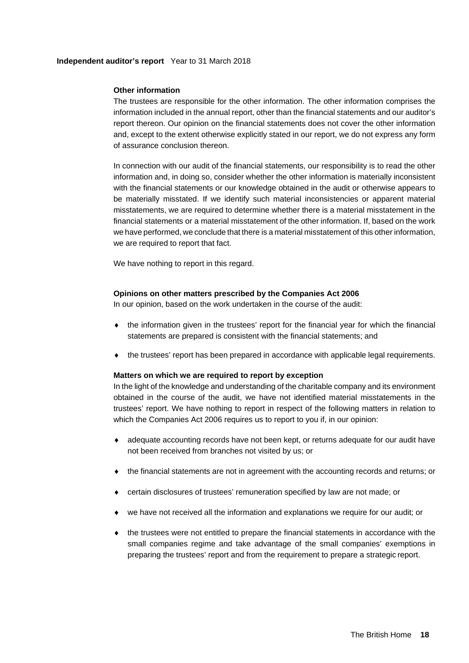# **Independent auditor's report** Year to 31 March 2018

# **Other information**

The trustees are responsible for the other information. The other information comprises the information included in the annual report, other than the financial statements and our auditor's report thereon. Our opinion on the financial statements does not cover the other information and, except to the extent otherwise explicitly stated in our report, we do not express any form of assurance conclusion thereon.

In connection with our audit of the financial statements, our responsibility is to read the other information and, in doing so, consider whether the other information is materially inconsistent with the financial statements or our knowledge obtained in the audit or otherwise appears to be materially misstated. If we identify such material inconsistencies or apparent material misstatements, we are required to determine whether there is a material misstatement in the financial statements or a material misstatement of the other information. If, based on the work we have performed, we conclude that there is a material misstatement of this other information, we are required to report that fact.

We have nothing to report in this regard.

# **Opinions on other matters prescribed by the Companies Act 2006**

In our opinion, based on the work undertaken in the course of the audit:

- $\bullet$  the information given in the trustees' report for the financial year for which the financial statements are prepared is consistent with the financial statements; and
- $\bullet$  the trustees' report has been prepared in accordance with applicable legal requirements.

# **Matters on which we are required to report by exception**

In the light of the knowledge and understanding of the charitable company and its environment obtained in the course of the audit, we have not identified material misstatements in the trustees' report. We have nothing to report in respect of the following matters in relation to which the Companies Act 2006 requires us to report to you if, in our opinion:

- adequate accounting records have not been kept, or returns adequate for our audit have not been received from branches not visited by us; or
- the financial statements are not in agreement with the accounting records and returns; or
- certain disclosures of trustees' remuneration specified by law are not made; or
- we have not received all the information and explanations we require for our audit; or
- $\bullet$  the trustees were not entitled to prepare the financial statements in accordance with the small companies regime and take advantage of the small companies' exemptions in preparing the trustees' report and from the requirement to prepare a strategic report.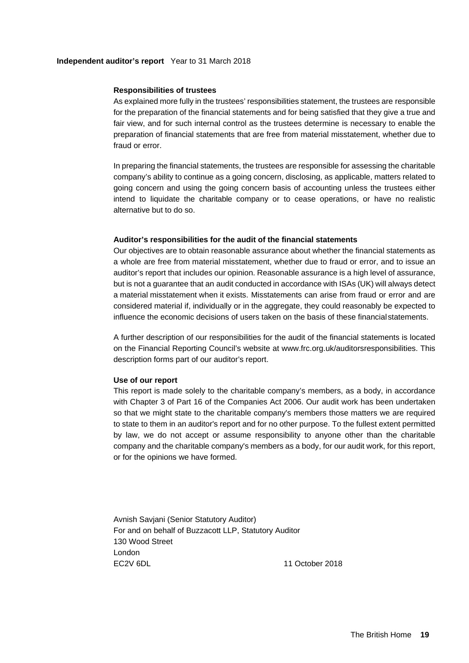# **Independent auditor's report** Year to 31 March 2018

#### **Responsibilities of trustees**

As explained more fully in the trustees' responsibilities statement, the trustees are responsible for the preparation of the financial statements and for being satisfied that they give a true and fair view, and for such internal control as the trustees determine is necessary to enable the preparation of financial statements that are free from material misstatement, whether due to fraud or error.

In preparing the financial statements, the trustees are responsible for assessing the charitable company's ability to continue as a going concern, disclosing, as applicable, matters related to going concern and using the going concern basis of accounting unless the trustees either intend to liquidate the charitable company or to cease operations, or have no realistic alternative but to do so.

#### **Auditor's responsibilities for the audit of the financial statements**

Our objectives are to obtain reasonable assurance about whether the financial statements as a whole are free from material misstatement, whether due to fraud or error, and to issue an auditor's report that includes our opinion. Reasonable assurance is a high level of assurance, but is not a guarantee that an audit conducted in accordance with ISAs (UK) will always detect a material misstatement when it exists. Misstatements can arise from fraud or error and are considered material if, individually or in the aggregate, they could reasonably be expected to influence the economic decisions of users taken on the basis of these financial statements.

A further description of our responsibilities for the audit of the financial statements is located on the Financial Reporting Council's website at www.frc.org.uk/auditorsresponsibilities. This description forms part of our auditor's report.

#### **Use of our report**

This report is made solely to the charitable company's members, as a body, in accordance with Chapter 3 of Part 16 of the Companies Act 2006. Our audit work has been undertaken so that we might state to the charitable company's members those matters we are required to state to them in an auditor's report and for no other purpose. To the fullest extent permitted by law, we do not accept or assume responsibility to anyone other than the charitable company and the charitable company's members as a body, for our audit work, for this report, or for the opinions we have formed.

Avnish Savjani (Senior Statutory Auditor) For and on behalf of Buzzacott LLP, Statutory Auditor 130 Wood Street London EC2V 6DL 11 October 2018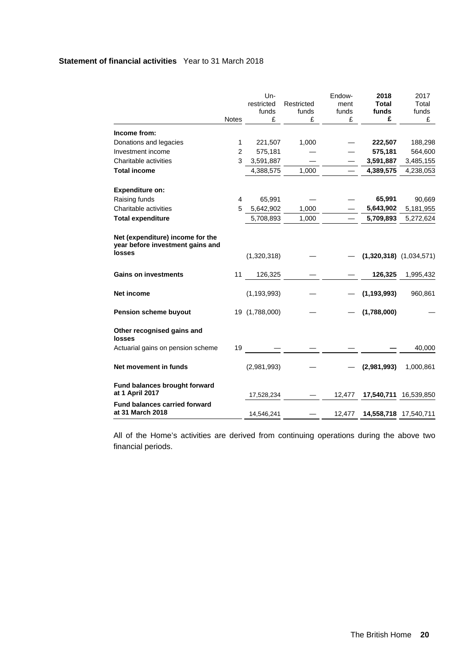# **Statement of financial activities** Year to 31 March 2018

|                                                                      |                | Un-            |            | Endow- | 2018          | 2017                        |
|----------------------------------------------------------------------|----------------|----------------|------------|--------|---------------|-----------------------------|
|                                                                      |                | restricted     | Restricted | ment   | <b>Total</b>  | Total                       |
|                                                                      |                | funds          | funds      | funds  | funds         | funds                       |
|                                                                      | <b>Notes</b>   | £              | £          | £      | £             | £                           |
| Income from:                                                         |                |                |            |        |               |                             |
| Donations and legacies                                               | 1              | 221,507        | 1,000      |        | 222,507       | 188,298                     |
| Investment income                                                    | $\overline{2}$ | 575,181        |            |        | 575,181       | 564,600                     |
| Charitable activities                                                | 3              | 3,591,887      |            |        | 3,591,887     | 3,485,155                   |
| <b>Total income</b>                                                  |                | 4,388,575      | 1,000      |        | 4,389,575     | 4,238,053                   |
| <b>Expenditure on:</b>                                               |                |                |            |        |               |                             |
| Raising funds                                                        | $\overline{4}$ | 65,991         |            |        | 65,991        | 90,669                      |
| Charitable activities                                                | 5              | 5,642,902      | 1,000      |        | 5,643,902     | 5,181,955                   |
| <b>Total expenditure</b>                                             |                | 5,708,893      | 1,000      |        | 5,709,893     | 5,272,624                   |
| Net (expenditure) income for the<br>year before investment gains and |                |                |            |        |               |                             |
| losses                                                               |                | (1,320,318)    |            |        |               | $(1,320,318)$ $(1,034,571)$ |
| <b>Gains on investments</b>                                          | 11             | 126,325        |            |        | 126,325       | 1,995,432                   |
| <b>Net income</b>                                                    |                | (1, 193, 993)  |            |        | (1, 193, 993) | 960,861                     |
| Pension scheme buyout                                                |                | 19 (1,788,000) |            |        | (1,788,000)   |                             |
| Other recognised gains and<br>losses                                 |                |                |            |        |               |                             |
| Actuarial gains on pension scheme                                    | 19             |                |            |        |               | 40,000                      |
| Net movement in funds                                                |                | (2,981,993)    |            |        | (2,981,993)   | 1,000,861                   |
| Fund balances brought forward<br>at 1 April 2017                     |                | 17,528,234     |            | 12,477 | 17,540,711    | 16,539,850                  |
| <b>Fund balances carried forward</b><br>at 31 March 2018             |                | 14,546,241     |            | 12,477 |               | 14,558,718 17,540,711       |

All of the Home's activities are derived from continuing operations during the above two financial periods.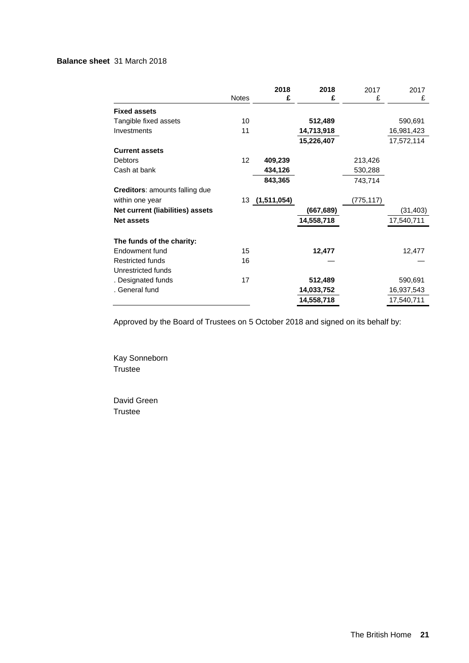# **Balance sheet** 31 March 2018

|                                       | <b>Notes</b> | 2018<br>£      | 2018<br>£  | 2017<br>£ | 2017<br>£  |
|---------------------------------------|--------------|----------------|------------|-----------|------------|
| <b>Fixed assets</b>                   |              |                |            |           |            |
| Tangible fixed assets                 | 10           |                | 512,489    |           | 590,691    |
| Investments                           | 11           |                | 14,713,918 |           | 16,981,423 |
|                                       |              |                | 15,226,407 |           | 17,572,114 |
| <b>Current assets</b>                 |              |                |            |           |            |
| <b>Debtors</b>                        | 12           | 409,239        |            | 213,426   |            |
| Cash at bank                          |              | 434,126        |            | 530,288   |            |
|                                       |              | 843,365        |            | 743,714   |            |
| <b>Creditors:</b> amounts falling due |              |                |            |           |            |
| within one year                       |              | 13 (1,511,054) |            | (775,117) |            |
| Net current (liabilities) assets      |              |                | (667, 689) |           | (31, 403)  |
| <b>Net assets</b>                     |              |                | 14,558,718 |           | 17,540,711 |
| The funds of the charity:             |              |                |            |           |            |
| Endowment fund                        | 15           |                | 12,477     |           | 12,477     |
| <b>Restricted funds</b>               | 16           |                |            |           |            |
| Unrestricted funds                    |              |                |            |           |            |
| . Designated funds                    | 17           |                | 512,489    |           | 590,691    |
| . General fund                        |              |                | 14,033,752 |           | 16,937,543 |
|                                       |              |                | 14,558,718 |           | 17,540,711 |

Approved by the Board of Trustees on 5 October 2018 and signed on its behalf by:

Kay Sonneborn Trustee

David Green Trustee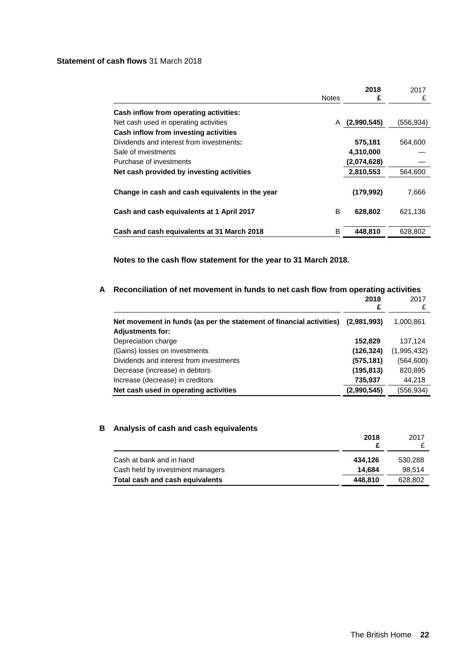# **Statement of cash flows** 31 March 2018

|                                                 | <b>Notes</b> | 2018<br>£     | 2017<br>£ |
|-------------------------------------------------|--------------|---------------|-----------|
| Cash inflow from operating activities:          |              |               |           |
| Net cash used in operating activities           |              | A (2,990,545) | (556,934) |
| Cash inflow from investing activities           |              |               |           |
| Dividends and interest from investments:        |              | 575,181       | 564,600   |
| Sale of investments                             |              | 4,310,000     |           |
| Purchase of investments                         |              | (2,074,628)   |           |
| Net cash provided by investing activities       |              | 2,810,553     | 564,600   |
| Change in cash and cash equivalents in the year |              | (179.992)     | 7,666     |
| Cash and cash equivalents at 1 April 2017       | B            | 628,802       | 621,136   |
| Cash and cash equivalents at 31 March 2018      | в            | 448,810       | 628,802   |

**Notes to the cash flow statement for the year to 31 March 2018.** 

# **A Reconciliation of net movement in funds to net cash flow from operating activities**

|                                                                                                 | 2018<br>£   | 2017        |
|-------------------------------------------------------------------------------------------------|-------------|-------------|
| Net movement in funds (as per the statement of financial activities)<br><b>Adjustments for:</b> | (2,981,993) | 1,000,861   |
| Depreciation charge                                                                             | 152,829     | 137,124     |
| (Gains) losses on investments                                                                   | (126, 324)  | (1,995,432) |
| Dividends and interest from investments                                                         | (575, 181)  | (564, 600)  |
| Decrease (increase) in debtors                                                                  | (195, 813)  | 820,895     |
| Increase (decrease) in creditors                                                                | 735,937     | 44,218      |
| Net cash used in operating activities                                                           | (2,990,545) | (556,934)   |

# **B Analysis of cash and cash equivalents**

|                                  | 2018    | 2017    |
|----------------------------------|---------|---------|
| Cash at bank and in hand         | 434.126 | 530.288 |
| Cash held by investment managers | 14.684  | 98.514  |
| Total cash and cash equivalents  | 448.810 | 628,802 |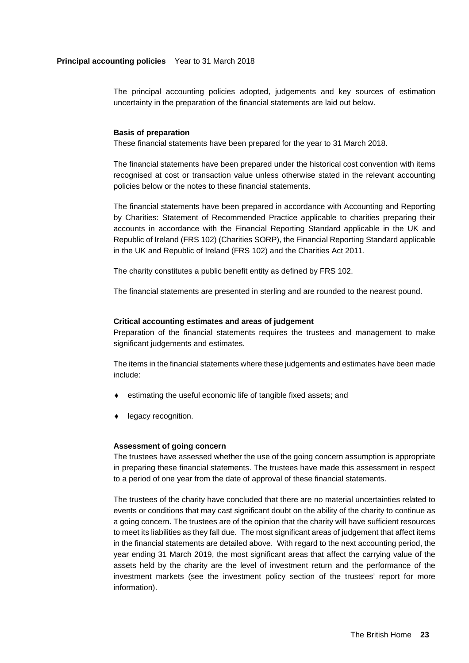# **Principal accounting policies** Year to 31 March 2018

The principal accounting policies adopted, judgements and key sources of estimation uncertainty in the preparation of the financial statements are laid out below.

#### **Basis of preparation**

These financial statements have been prepared for the year to 31 March 2018.

The financial statements have been prepared under the historical cost convention with items recognised at cost or transaction value unless otherwise stated in the relevant accounting policies below or the notes to these financial statements.

The financial statements have been prepared in accordance with Accounting and Reporting by Charities: Statement of Recommended Practice applicable to charities preparing their accounts in accordance with the Financial Reporting Standard applicable in the UK and Republic of Ireland (FRS 102) (Charities SORP), the Financial Reporting Standard applicable in the UK and Republic of Ireland (FRS 102) and the Charities Act 2011.

The charity constitutes a public benefit entity as defined by FRS 102.

The financial statements are presented in sterling and are rounded to the nearest pound.

#### **Critical accounting estimates and areas of judgement**

Preparation of the financial statements requires the trustees and management to make significant judgements and estimates.

The items in the financial statements where these judgements and estimates have been made include:

- estimating the useful economic life of tangible fixed assets; and
- **+** legacy recognition.

#### **Assessment of going concern**

The trustees have assessed whether the use of the going concern assumption is appropriate in preparing these financial statements. The trustees have made this assessment in respect to a period of one year from the date of approval of these financial statements.

The trustees of the charity have concluded that there are no material uncertainties related to events or conditions that may cast significant doubt on the ability of the charity to continue as a going concern. The trustees are of the opinion that the charity will have sufficient resources to meet its liabilities as they fall due. The most significant areas of judgement that affect items in the financial statements are detailed above. With regard to the next accounting period, the year ending 31 March 2019, the most significant areas that affect the carrying value of the assets held by the charity are the level of investment return and the performance of the investment markets (see the investment policy section of the trustees' report for more information).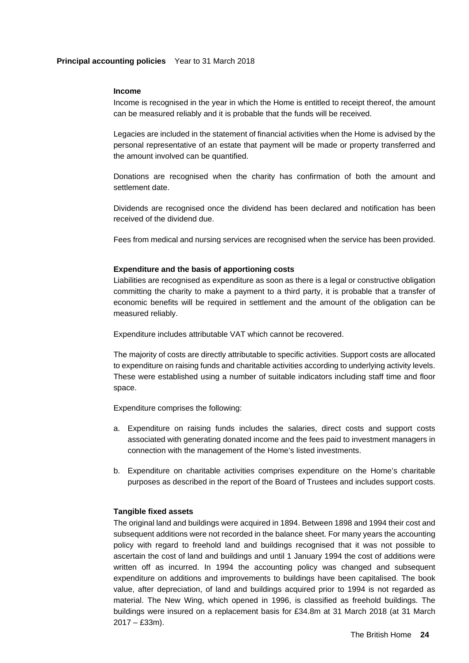#### **Income**

Income is recognised in the year in which the Home is entitled to receipt thereof, the amount can be measured reliably and it is probable that the funds will be received.

Legacies are included in the statement of financial activities when the Home is advised by the personal representative of an estate that payment will be made or property transferred and the amount involved can be quantified.

Donations are recognised when the charity has confirmation of both the amount and settlement date.

Dividends are recognised once the dividend has been declared and notification has been received of the dividend due.

Fees from medical and nursing services are recognised when the service has been provided.

#### **Expenditure and the basis of apportioning costs**

Liabilities are recognised as expenditure as soon as there is a legal or constructive obligation committing the charity to make a payment to a third party, it is probable that a transfer of economic benefits will be required in settlement and the amount of the obligation can be measured reliably.

Expenditure includes attributable VAT which cannot be recovered.

The majority of costs are directly attributable to specific activities. Support costs are allocated to expenditure on raising funds and charitable activities according to underlying activity levels. These were established using a number of suitable indicators including staff time and floor space.

Expenditure comprises the following:

- a. Expenditure on raising funds includes the salaries, direct costs and support costs associated with generating donated income and the fees paid to investment managers in connection with the management of the Home's listed investments.
- b. Expenditure on charitable activities comprises expenditure on the Home's charitable purposes as described in the report of the Board of Trustees and includes support costs.

# **Tangible fixed assets**

The original land and buildings were acquired in 1894. Between 1898 and 1994 their cost and subsequent additions were not recorded in the balance sheet. For many years the accounting policy with regard to freehold land and buildings recognised that it was not possible to ascertain the cost of land and buildings and until 1 January 1994 the cost of additions were written off as incurred. In 1994 the accounting policy was changed and subsequent expenditure on additions and improvements to buildings have been capitalised. The book value, after depreciation, of land and buildings acquired prior to 1994 is not regarded as material. The New Wing, which opened in 1996, is classified as freehold buildings. The buildings were insured on a replacement basis for £34.8m at 31 March 2018 (at 31 March  $2017 - E33m$ ).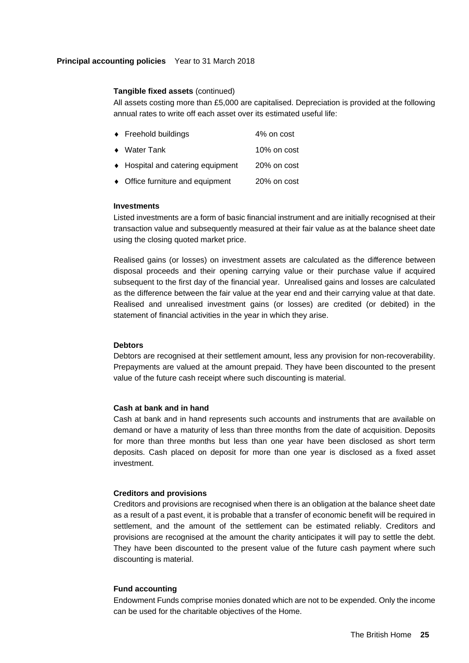# **Principal accounting policies** Year to 31 March 2018

# **Tangible fixed assets** (continued)

All assets costing more than £5,000 are capitalised. Depreciation is provided at the following annual rates to write off each asset over its estimated useful life:

| $\bullet$ Freehold buildings      | 4% on cost  |
|-----------------------------------|-------------|
| $\bullet$ Water Tank              | 10% on cost |
| ♦ Hospital and catering equipment | 20% on cost |
|                                   |             |

• Office furniture and equipment 20% on cost

# **Investments**

Listed investments are a form of basic financial instrument and are initially recognised at their transaction value and subsequently measured at their fair value as at the balance sheet date using the closing quoted market price.

Realised gains (or losses) on investment assets are calculated as the difference between disposal proceeds and their opening carrying value or their purchase value if acquired subsequent to the first day of the financial year. Unrealised gains and losses are calculated as the difference between the fair value at the year end and their carrying value at that date. Realised and unrealised investment gains (or losses) are credited (or debited) in the statement of financial activities in the year in which they arise.

# **Debtors**

Debtors are recognised at their settlement amount, less any provision for non-recoverability. Prepayments are valued at the amount prepaid. They have been discounted to the present value of the future cash receipt where such discounting is material.

# **Cash at bank and in hand**

Cash at bank and in hand represents such accounts and instruments that are available on demand or have a maturity of less than three months from the date of acquisition. Deposits for more than three months but less than one year have been disclosed as short term deposits. Cash placed on deposit for more than one year is disclosed as a fixed asset investment.

# **Creditors and provisions**

Creditors and provisions are recognised when there is an obligation at the balance sheet date as a result of a past event, it is probable that a transfer of economic benefit will be required in settlement, and the amount of the settlement can be estimated reliably. Creditors and provisions are recognised at the amount the charity anticipates it will pay to settle the debt. They have been discounted to the present value of the future cash payment where such discounting is material.

# **Fund accounting**

Endowment Funds comprise monies donated which are not to be expended. Only the income can be used for the charitable objectives of the Home.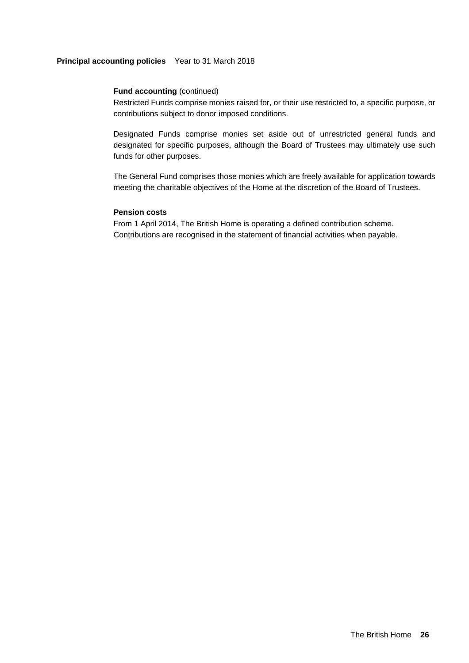# **Principal accounting policies** Year to 31 March 2018

# **Fund accounting (continued)**

Restricted Funds comprise monies raised for, or their use restricted to, a specific purpose, or contributions subject to donor imposed conditions.

Designated Funds comprise monies set aside out of unrestricted general funds and designated for specific purposes, although the Board of Trustees may ultimately use such funds for other purposes.

The General Fund comprises those monies which are freely available for application towards meeting the charitable objectives of the Home at the discretion of the Board of Trustees.

# **Pension costs**

From 1 April 2014, The British Home is operating a defined contribution scheme. Contributions are recognised in the statement of financial activities when payable.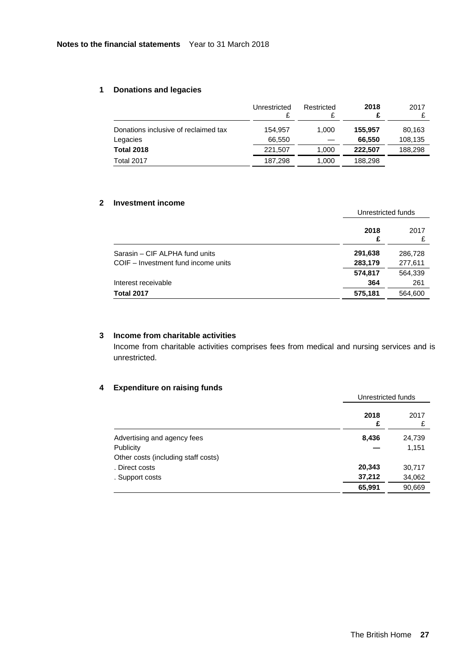# **1 Donations and legacies**

|                                      | Unrestricted | Restricted | 2018<br>£ | 2017    |
|--------------------------------------|--------------|------------|-----------|---------|
| Donations inclusive of reclaimed tax | 154.957      | 1.000      | 155.957   | 80,163  |
| Legacies                             | 66.550       |            | 66,550    | 108,135 |
| <b>Total 2018</b>                    | 221.507      | 1.000      | 222.507   | 188,298 |
| Total 2017                           | 187.298      | 1,000      | 188.298   |         |

# **2 Investment income**

|                                     | Unrestricted funds |         |
|-------------------------------------|--------------------|---------|
|                                     | 2018<br>£          | 2017    |
| Sarasin - CIF ALPHA fund units      | 291,638            | 286,728 |
| COIF – Investment fund income units | 283,179            | 277,611 |
|                                     | 574,817            | 564,339 |
| Interest receivable                 | 364                | 261     |
| <b>Total 2017</b>                   | 575,181            | 564,600 |

# **3 Income from charitable activities**

Income from charitable activities comprises fees from medical and nursing services and is unrestricted.

# **4 Expenditure on raising funds**

|                                     | Unrestricted funds |           |
|-------------------------------------|--------------------|-----------|
|                                     | 2018<br>£          | 2017<br>£ |
| Advertising and agency fees         | 8,436              | 24,739    |
| Publicity                           |                    | 1,151     |
| Other costs (including staff costs) |                    |           |
| . Direct costs                      | 20,343             | 30,717    |
| . Support costs                     | 37,212             | 34,062    |
|                                     | 65,991             | 90,669    |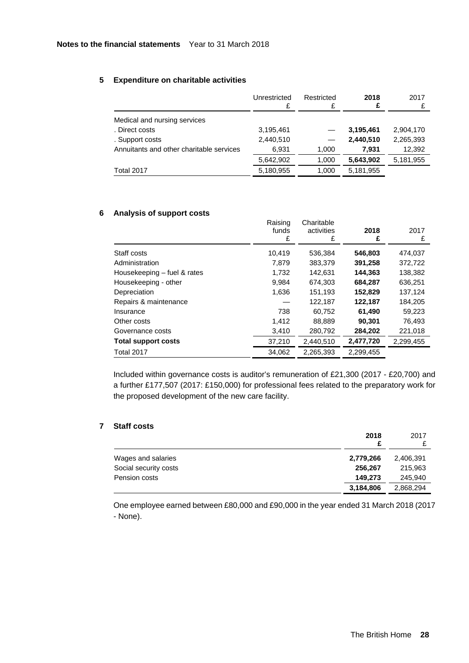# **5 Expenditure on charitable activities**

|                                          | Unrestricted | Restricted | 2018<br>£ | 2017<br>£ |
|------------------------------------------|--------------|------------|-----------|-----------|
| Medical and nursing services             |              |            |           |           |
| . Direct costs                           | 3,195,461    |            | 3,195,461 | 2,904,170 |
| . Support costs                          | 2,440,510    |            | 2,440,510 | 2,265,393 |
| Annuitants and other charitable services | 6,931        | 1,000      | 7.931     | 12,392    |
|                                          | 5,642,902    | 1,000      | 5,643,902 | 5,181,955 |
| Total 2017                               | 5,180,955    | 1,000      | 5,181,955 |           |

# **6 Analysis of support costs**

| -----                       | Raising<br>funds<br>£ | Charitable<br>activities<br>£ | 2018<br>£ | 2017<br>£ |
|-----------------------------|-----------------------|-------------------------------|-----------|-----------|
| Staff costs                 | 10.419                | 536,384                       | 546,803   | 474,037   |
| Administration              | 7.879                 | 383,379                       | 391,258   | 372,722   |
| Housekeeping - fuel & rates | 1.732                 | 142.631                       | 144,363   | 138,382   |
| Housekeeping - other        | 9,984                 | 674,303                       | 684,287   | 636,251   |
| Depreciation                | 1,636                 | 151,193                       | 152,829   | 137,124   |
| Repairs & maintenance       |                       | 122,187                       | 122,187   | 184,205   |
| Insurance                   | 738                   | 60.752                        | 61,490    | 59.223    |
| Other costs                 | 1,412                 | 88,889                        | 90,301    | 76.493    |
| Governance costs            | 3,410                 | 280,792                       | 284,202   | 221,018   |
| <b>Total support costs</b>  | 37,210                | 2,440,510                     | 2,477,720 | 2,299,455 |
| Total 2017                  | 34.062                | 2,265,393                     | 2.299.455 |           |

Included within governance costs is auditor's remuneration of £21,300 (2017 - £20,700) and a further £177,507 (2017: £150,000) for professional fees related to the preparatory work for the proposed development of the new care facility.

# **7 Staff costs**

|                       | 2018      | 2017      |
|-----------------------|-----------|-----------|
| Wages and salaries    | 2,779,266 | 2,406,391 |
| Social security costs | 256,267   | 215,963   |
| Pension costs         | 149.273   | 245,940   |
|                       | 3,184,806 | 2,868,294 |

 One employee earned between £80,000 and £90,000 in the year ended 31 March 2018 (2017 - None).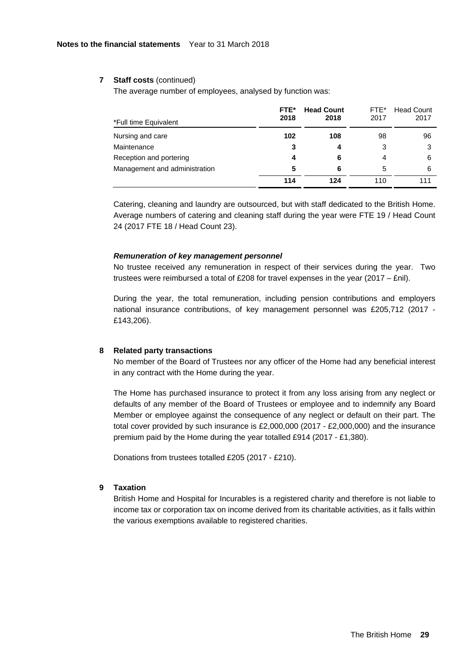#### **7 Staff costs** (continued)

The average number of employees, analysed by function was:

| *Full time Equivalent         | FTE*<br>2018 | <b>Head Count</b><br>2018 | FTE*<br>2017 | <b>Head Count</b><br>2017 |
|-------------------------------|--------------|---------------------------|--------------|---------------------------|
| Nursing and care              | 102          | 108                       | 98           | 96                        |
| Maintenance                   | 3            | 4                         | 3            | 3                         |
| Reception and portering       | 4            | 6                         | 4            | 6                         |
| Management and administration | 5            | 6                         | 5            | 6                         |
|                               | 114          | 124                       | 110          |                           |

Catering, cleaning and laundry are outsourced, but with staff dedicated to the British Home. Average numbers of catering and cleaning staff during the year were FTE 19 / Head Count 24 (2017 FTE 18 / Head Count 23).

#### *Remuneration of key management personnel*

No trustee received any remuneration in respect of their services during the year. Two trustees were reimbursed a total of £208 for travel expenses in the year (2017 – £nil).

During the year, the total remuneration, including pension contributions and employers national insurance contributions, of key management personnel was £205,712 (2017 - £143,206).

#### **8 Related party transactions**

No member of the Board of Trustees nor any officer of the Home had any beneficial interest in any contract with the Home during the year.

The Home has purchased insurance to protect it from any loss arising from any neglect or defaults of any member of the Board of Trustees or employee and to indemnify any Board Member or employee against the consequence of any neglect or default on their part. The total cover provided by such insurance is £2,000,000 (2017 - £2,000,000) and the insurance premium paid by the Home during the year totalled £914 (2017 - £1,380).

Donations from trustees totalled £205 (2017 - £210).

#### **9 Taxation**

British Home and Hospital for Incurables is a registered charity and therefore is not liable to income tax or corporation tax on income derived from its charitable activities, as it falls within the various exemptions available to registered charities.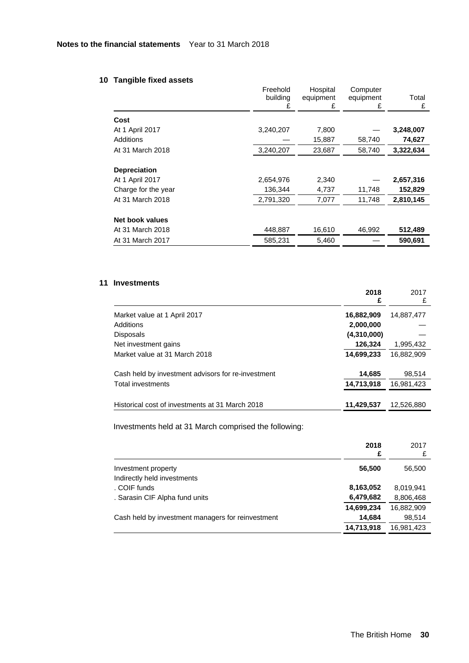# **10 Tangible fixed assets**

|                     | Freehold<br>building<br>£ | Hospital<br>equipment<br>£ | Computer<br>equipment<br>£ | Total<br>£ |
|---------------------|---------------------------|----------------------------|----------------------------|------------|
| Cost                |                           |                            |                            |            |
| At 1 April 2017     | 3,240,207                 | 7,800                      |                            | 3,248,007  |
| Additions           |                           | 15,887                     | 58,740                     | 74,627     |
| At 31 March 2018    | 3,240,207                 | 23,687                     | 58,740                     | 3,322,634  |
| <b>Depreciation</b> |                           |                            |                            |            |
| At 1 April 2017     | 2,654,976                 | 2,340                      |                            | 2,657,316  |
| Charge for the year | 136,344                   | 4,737                      | 11,748                     | 152,829    |
| At 31 March 2018    | 2,791,320                 | 7,077                      | 11,748                     | 2,810,145  |
| Net book values     |                           |                            |                            |            |
| At 31 March 2018    | 448,887                   | 16,610                     | 46,992                     | 512,489    |
| At 31 March 2017    | 585,231                   | 5,460                      |                            | 590,691    |
|                     |                           |                            |                            |            |

# **11 Investments**

|                                                    | £           |            |
|----------------------------------------------------|-------------|------------|
| Market value at 1 April 2017                       | 16,882,909  | 14,887,477 |
| Additions                                          | 2,000,000   |            |
| <b>Disposals</b>                                   | (4,310,000) |            |
| Net investment gains                               | 126,324     | 1,995,432  |
| Market value at 31 March 2018                      | 14,699,233  | 16,882,909 |
| Cash held by investment advisors for re-investment | 14,685      | 98,514     |
| Total investments                                  | 14,713,918  | 16,981,423 |
|                                                    |             |            |
| Historical cost of investments at 31 March 2018    | 11,429,537  | 12,526,880 |

Investments held at 31 March comprised the following:

|                                                   | 2018<br>£  | 2017       |
|---------------------------------------------------|------------|------------|
| Investment property                               | 56,500     | 56,500     |
| Indirectly held investments                       |            |            |
| . COIF funds                                      | 8,163,052  | 8,019,941  |
| . Sarasin CIF Alpha fund units                    | 6,479,682  | 8,806,468  |
|                                                   | 14,699,234 | 16,882,909 |
| Cash held by investment managers for reinvestment | 14,684     | 98,514     |
|                                                   | 14,713,918 | 16,981,423 |

 **2018** 

2017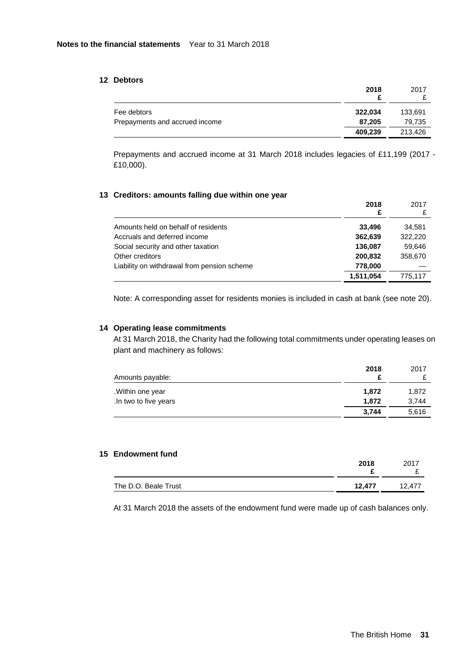# **12 Debtors**

|                                | 2018    | 2017    |
|--------------------------------|---------|---------|
| Fee debtors                    | 322,034 | 133,691 |
| Prepayments and accrued income | 87.205  | 79.735  |
|                                | 409.239 | 213.426 |

Prepayments and accrued income at 31 March 2018 includes legacies of £11,199 (2017 - £10,000).

# **13 Creditors: amounts falling due within one year**

|                                             | 2018<br>£ | 2017    |
|---------------------------------------------|-----------|---------|
| Amounts held on behalf of residents         | 33.496    | 34,581  |
| Accruals and deferred income                | 362,639   | 322,220 |
| Social security and other taxation          | 136.087   | 59,646  |
| Other creditors                             | 200,832   | 358,670 |
| Liability on withdrawal from pension scheme | 778,000   |         |
|                                             | 1,511,054 | 775.117 |

Note: A corresponding asset for residents monies is included in cash at bank (see note 20).

# **14 Operating lease commitments**

At 31 March 2018, the Charity had the following total commitments under operating leases on plant and machinery as follows:

| Amounts payable:      | 2018  | 2017  |
|-----------------------|-------|-------|
| .Within one year      | 1.872 | 1,872 |
| .In two to five years | 1.872 | 3.744 |
|                       | 3.744 | 5.616 |

# **15 Endowment fund**

|                      | 2018   | 2017<br>- |
|----------------------|--------|-----------|
| The D.O. Beale Trust | 12.477 | 12.477    |

At 31 March 2018 the assets of the endowment fund were made up of cash balances only.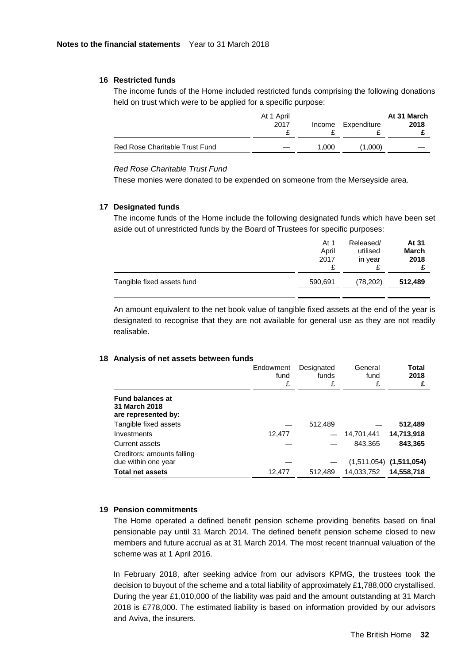# **16 Restricted funds**

The income funds of the Home included restricted funds comprising the following donations held on trust which were to be applied for a specific purpose:

|                                | At 1 April<br>2017 | Income | Expenditure | At 31 March<br>2018 |
|--------------------------------|--------------------|--------|-------------|---------------------|
| Red Rose Charitable Trust Fund |                    | 1.000  | (1.000)     |                     |

# *Red Rose Charitable Trust Fund*

These monies were donated to be expended on someone from the Merseyside area.

#### **17 Designated funds**

The income funds of the Home include the following designated funds which have been set aside out of unrestricted funds by the Board of Trustees for specific purposes:

|                            | At 1<br>April<br>2017 | Released/<br>utilised<br>in year<br>₽ | At 31<br>March<br>2018 |
|----------------------------|-----------------------|---------------------------------------|------------------------|
| Tangible fixed assets fund | 590,691               | (78, 202)                             | 512,489                |
|                            |                       |                                       |                        |

An amount equivalent to the net book value of tangible fixed assets at the end of the year is designated to recognise that they are not available for general use as they are not readily realisable.

#### **18 Analysis of net assets between funds**

|                                                                 | Endowment<br>fund<br>£ | Designated<br>funds<br>£ | General<br>fund<br>£ | <b>Total</b><br>2018<br>£   |
|-----------------------------------------------------------------|------------------------|--------------------------|----------------------|-----------------------------|
| <b>Fund balances at</b><br>31 March 2018<br>are represented by: |                        |                          |                      |                             |
| Tangible fixed assets                                           |                        | 512,489                  |                      | 512,489                     |
| Investments                                                     | 12.477                 |                          | 14,701,441           | 14,713,918                  |
| Current assets                                                  |                        |                          | 843.365              | 843,365                     |
| Creditors: amounts falling<br>due within one year               |                        |                          |                      | $(1,511,054)$ $(1,511,054)$ |
| <b>Total net assets</b>                                         | 12.477                 | 512.489                  | 14,033,752           | 14,558,718                  |

#### **19 Pension commitments**

The Home operated a defined benefit pension scheme providing benefits based on final pensionable pay until 31 March 2014. The defined benefit pension scheme closed to new members and future accrual as at 31 March 2014. The most recent triannual valuation of the scheme was at 1 April 2016.

In February 2018, after seeking advice from our advisors KPMG, the trustees took the decision to buyout of the scheme and a total liability of approximately £1,788,000 crystallised. During the year £1,010,000 of the liability was paid and the amount outstanding at 31 March 2018 is £778,000. The estimated liability is based on information provided by our advisors and Aviva, the insurers.